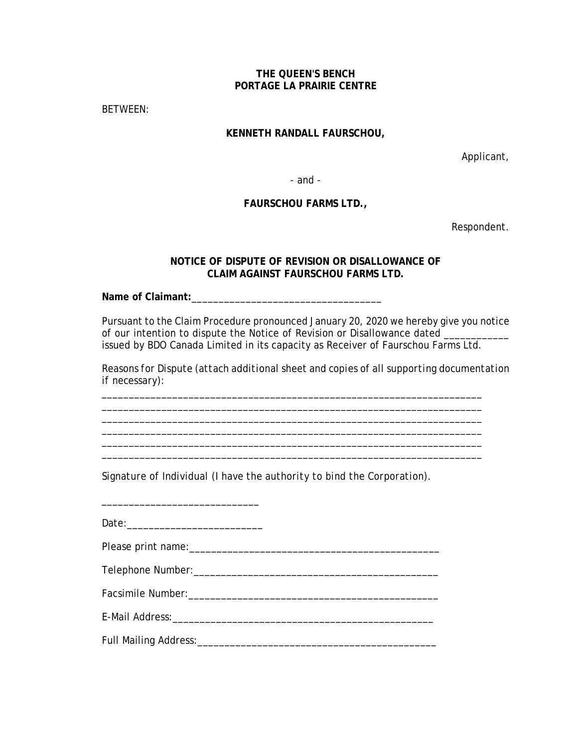## **THE QUEEN'S BENCH PORTAGE LA PRAIRIE CENTRE**

BETWEEN:

## **KENNETH RANDALL FAURSCHOU,**

Applicant,

- and -

## **FAURSCHOU FARMS LTD.,**

Respondent.

## **NOTICE OF DISPUTE OF REVISION OR DISALLOWANCE OF CLAIM AGAINST FAURSCHOU FARMS LTD.**

**Name of Claimant:**\_\_\_\_\_\_\_\_\_\_\_\_\_\_\_\_\_\_\_\_\_\_\_\_\_\_\_\_\_\_\_\_\_\_\_

Pursuant to the Claim Procedure pronounced January 20, 2020 we hereby give you notice of our intention to dispute the Notice of Revision or Disallowance dated \_ issued by BDO Canada Limited in its capacity as Receiver of Faurschou Farms Ltd.

*Reasons for Dispute (attach additional sheet and copies of all supporting documentation if necessary):* 

\_\_\_\_\_\_\_\_\_\_\_\_\_\_\_\_\_\_\_\_\_\_\_\_\_\_\_\_\_\_\_\_\_\_\_\_\_\_\_\_\_\_\_\_\_\_\_\_\_\_\_\_\_\_\_\_\_\_\_\_\_\_\_\_\_\_\_\_\_\_ \_\_\_\_\_\_\_\_\_\_\_\_\_\_\_\_\_\_\_\_\_\_\_\_\_\_\_\_\_\_\_\_\_\_\_\_\_\_\_\_\_\_\_\_\_\_\_\_\_\_\_\_\_\_\_\_\_\_\_\_\_\_\_\_\_\_\_\_\_\_ \_\_\_\_\_\_\_\_\_\_\_\_\_\_\_\_\_\_\_\_\_\_\_\_\_\_\_\_\_\_\_\_\_\_\_\_\_\_\_\_\_\_\_\_\_\_\_\_\_\_\_\_\_\_\_\_\_\_\_\_\_\_\_\_\_\_\_\_\_\_

\_\_\_\_\_\_\_\_\_\_\_\_\_\_\_\_\_\_\_\_\_\_\_\_\_\_\_\_\_\_\_\_\_\_\_\_\_\_\_\_\_\_\_\_\_\_\_\_\_\_\_\_\_\_\_\_\_\_\_\_\_\_\_\_\_\_\_\_\_\_

*Signature of Individual (I have the authority to bind the Corporation).*

\_\_\_\_\_\_\_\_\_\_\_\_\_\_\_\_\_\_\_\_\_\_\_\_\_\_\_\_\_